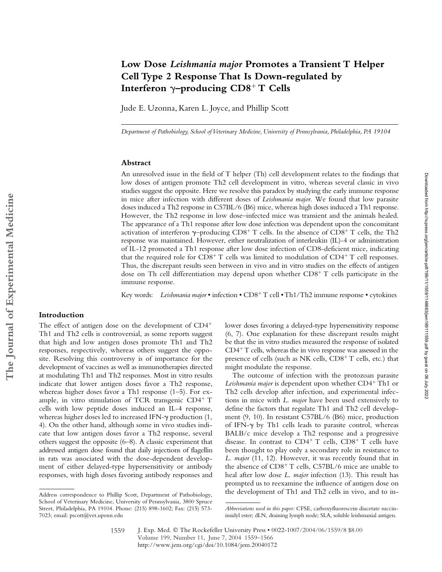# **Low Dose** *Leishmania major* **Promotes a Transient T Helper Cell Type 2 Response That Is Down-regulated by**  Interferon  $\gamma$ –producing CD8<sup>+</sup> T Cells

Jude E. Uzonna, Karen L. Joyce, and Phillip Scott

*Department of Pathobiology, School of Veterinary Medicine, University of Pennsylvania, Philadelphia, PA 19104*

## **Abstract**

An unresolved issue in the field of T helper (Th) cell development relates to the findings that low doses of antigen promote Th2 cell development in vitro, whereas several classic in vivo studies suggest the opposite. Here we resolve this paradox by studying the early immune response in mice after infection with different doses of *Leishmania major*. We found that low parasite doses induced a Th2 response in C57BL/6 (B6) mice, whereas high doses induced a Th1 response. However, the Th2 response in low dose–infected mice was transient and the animals healed. The appearance of a Th1 response after low dose infection was dependent upon the concomitant activation of interferon  $\gamma$ -producing CD8<sup>+</sup> T cells. In the absence of CD8<sup>+</sup> T cells, the Th2 response was maintained. However, either neutralization of interleukin (IL)-4 or administration of IL-12 promoted a Th1 response after low dose infection of CD8-deficient mice, indicating that the required role for  $CD8<sup>+</sup> T$  cells was limited to modulation of  $CD4<sup>+</sup> T$  cell responses. Thus, the discrepant results seen between in vivo and in vitro studies on the effects of antigen dose on Th cell differentiation may depend upon whether  $CD8<sup>+</sup>$  T cells participate in the immune response.

Key words: Leishmania major · infection · CD8<sup>+</sup> T cell · Th1/Th2 immune response · cytokines

## **Introduction**

The effect of antigen dose on the development of CD4 Th1 and Th2 cells is controversial, as some reports suggest that high and low antigen doses promote Th1 and Th2 responses, respectively, whereas others suggest the opposite. Resolving this controversy is of importance for the development of vaccines as well as immunotherapies directed at modulating Th1 and Th2 responses. Most in vitro results indicate that lower antigen doses favor a Th2 response, whereas higher doses favor a Th1 response (1–5). For example, in vitro stimulation of TCR transgenic CD4+ T cells with low peptide doses induced an IL-4 response, whereas higher doses led to increased IFN- $\gamma$  production (1, 4). On the other hand, although some in vivo studies indicate that low antigen doses favor a Th2 response, several others suggest the opposite (6–8). A classic experiment that addressed antigen dose found that daily injections of flagellin in rats was associated with the dose-dependent development of either delayed-type hypersensitivity or antibody responses, with high doses favoring antibody responses and lower doses favoring a delayed-type hypersensitivity response (6, 7). One explanation for these discrepant results might be that the in vitro studies measured the response of isolated  $CD4+T$  cells, whereas the in vivo response was assessed in the presence of cells (such as NK cells,  $CD8^+$  T cells, etc.) that might modulate the response.

The outcome of infection with the protozoan parasite Leishmania major is dependent upon whether CD4<sup>+</sup> Th1 or Th2 cells develop after infection, and experimental infections in mice with *L. major* have been used extensively to define the factors that regulate Th1 and Th2 cell development (9, 10). In resistant C57BL/6 (B6) mice, production of IFN- $\gamma$  by Th1 cells leads to parasite control, whereas BALB/c mice develop a Th2 response and a progressive disease. In contrast to  $CD4^+$  T cells,  $CD8^+$  T cells have been thought to play only a secondary role in resistance to *L. major* (11, 12). However, it was recently found that in the absence of  $CD8<sup>+</sup> T$  cells,  $C57BL/6$  mice are unable to heal after low dose *L. major* infection (13). This result has prompted us to reexamine the influence of antigen dose on Address correspondence to Phillip Scott, Department of Pathobiology, the development of Th1 and Th2 cells in vivo, and to in-

School of Veterinary Medicine, University of Pennsylvania, 3800 Spruce Street, Philadelphia, PA 19104. Phone: (215) 898-1602; Fax: (215) 573- 7023; email: pscott@vet.upenn.edu

*Abbreviations used in this paper:* CFSE, carboxyfluorescein diacetate succinimidyl ester; dLN, draining lymph node; SLA, soluble leishmanial antigen.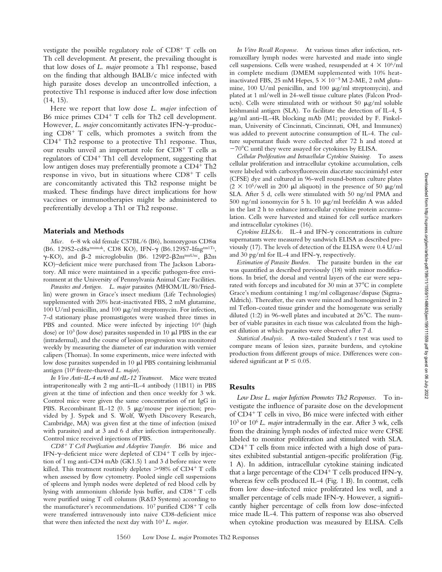vestigate the possible regulatory role of  $CD8<sup>+</sup>$  T cells on Th cell development. At present, the prevailing thought is that low doses of *L. major* promote a Th1 response, based on the finding that although BALB/c mice infected with high parasite doses develop an uncontrolled infection, a protective Th1 response is induced after low dose infection (14, 15).

Here we report that low dose *L. major* infection of B6 mice primes  $CD4^+$  T cells for Th2 cell development. However, L. major concomitantly activates IFN-y-producing  $CD8<sup>+</sup>$  T cells, which promotes a switch from the  $CD4^+$  Th2 response to a protective Th1 response. Thus, our results unveil an important role for  $CD8^+$  T cells as regulators of CD4<sup>+</sup> Th1 cell development, suggesting that low antigen doses may preferentially promote a CD4<sup>+</sup> Th2 response in vivo, but in situations where  $CD8^+$  T cells are concomitantly activated this Th2 response might be masked. These findings have direct implications for how vaccines or immunotherapies might be administered to preferentially develop a Th1 or Th2 response.

#### **Materials and Methods**

Mice. 6-8 wk old female C57BL/6 (B6), homozygous CD8 $\alpha$ (B6. 129S2-cd8atmimak, CD8 KO), IFN-γ (B6.129S7-Ifngtm1Ts,  $\gamma$ -KO), and  $\beta$ -2 microglobulin (B6. 129P2- $\beta$ 2mtmiUnc,  $\beta$ 2m KO)–deficient mice were purchased from The Jackson Laboratory. All mice were maintained in a specific pathogen-free environment at the University of Pennsylvania Animal Care Facilities.

*Parasites and Antigen. L. major* parasites (MHOM/IL/80/Friedlin) were grown in Grace's insect medium (Life Technologies) supplemented with 20% heat-inactivated FBS, 2 mM glutamine, 100 U/ml penicillin, and 100  $\mu$ g/ml streptomycin. For infection, 7-d stationary phase promastigotes were washed three times in PBS and counted. Mice were infected by injecting 10<sup>6</sup> (high dose) or  $10<sup>3</sup>$  (low dose) parasites suspended in 10  $\mu$ l PBS in the ear (intradermal), and the course of lesion progression was monitored weekly by measuring the diameter of ear induration with vernier calipers (Thomas). In some experiments, mice were infected with low dose parasites suspended in  $10 \mu l$  PBS containing leishmanial antigen (106 freeze-thawed *L. major*).

*In Vivo Anti–IL-4 mAb and rIL-12 Treatment.* Mice were treated intraperitoneally with 2 mg anti–IL-4 antibody (11B11) in PBS given at the time of infection and then once weekly for 3 wk. Control mice were given the same concentration of rat IgG in PBS. Recombinant IL-12 (0. 5  $\mu$ g/mouse per injection; provided by J. Sypek and S. Wolf, Wyeth Discovery Research, Cambridge, MA) was given first at the time of infection (mixed with parasites) and at 3 and 6 d after infection intraperitoneally. Control mice received injections of PBS.

*CD8 T Cell Purification and Adoptive Transfer.* B6 mice and IFN- $\gamma$ -deficient mice were depleted of CD4<sup>+</sup> T cells by injection of 1 mg anti-CD4 mAb (GK1.5) 1 and 3 d before mice were killed. This treatment routinely depletes  $>98\%$  of CD4<sup>+</sup> T cells when assessed by flow cytometry. Pooled single cell suspensions of spleens and lymph nodes were depleted of red blood cells by lysing with ammonium chloride lysis buffer, and  $CD8^+$  T cells were purified using T cell columns (R&D Systems) according to the manufacturer's recommendations.  $10^7$  purified CD8<sup>+</sup> T cells were transferred intravenously into naive CD8-deficient mice that were then infected the next day with 103 *L. major*.

*In Vitro Recall Response.* At various times after infection, retromaxillary lymph nodes were harvested and made into single cell suspensions. Cells were washed, resuspended at  $4 \times 10^6/\text{ml}$ in complete medium (DMEM supplemented with 10% heatinactivated FBS, 25 mM Hepes,  $5 \times 10^{-5}$  M 2-ME, 2 mM glutamine, 100 U/ml penicillin, and 100  $\mu$ g/ml streptomycin), and plated at 1 ml/well in 24-well tissue culture plates (Falcon Products). Cells were stimulated with or without 50  $\mu$ g/ml soluble leishmanial antigen (SLA). To facilitate the detection of IL-4, 5  $\mu$ g/ml anti–IL-4R blocking mAb (M1; provided by F. Finkelman, University of Cincinnati, Cincinnati, OH, and Immunex) was added to prevent autocrine consumption of IL-4. The culture supernatant fluids were collected after 72 h and stored at 70 C until they were assayed for cytokines by ELISA.

*Cellular Proliferation and Intracellular Cytokine Staining.* To assess cellular proliferation and intracellular cytokine accumulation, cells were labeled with carboxyfluorescein diacetate succinimidyl ester (CFSE) dye and cultured in 96-well round-bottom culture plates  $(2 \times 10^5/\text{well}$  in 200  $\mu$ l aliquots) in the presence of 50  $\mu$ g/ml SLA. After 5 d, cells were stimulated with 50 ng/ml PMA and 500 ng/ml ionomycin for 5 h. 10  $\mu$ g/ml brefeldin A was added in the last 2 h to enhance intracellular cytokine protein accumulation. Cells were harvested and stained for cell surface markers and intracellular cytokines (16).

Cytokine ELISAs. IL-4 and IFN-γ concentrations in culture supernatants were measured by sandwich ELISA as described previously (17). The levels of detection of the ELISA were 0.4 U/ml and 30 pg/ml for IL-4 and IFN- $\gamma$ , respectively.

*Estimation of Parasite Burden.* The parasite burden in the ear was quantified as described previously (18) with minor modifications. In brief, the dorsal and ventral layers of the ear were separated with forceps and incubated for 30 min at 37 C in complete Grace's medium containing 1 mg/ml collagenase/dispase (Sigma-Aldrich). Thereafter, the ears were minced and homogenized in 2 ml Teflon-coated tissue grinder and the homogenate was serially diluted (1:2) in 96-well plates and incubated at 26 C. The number of viable parasites in each tissue was calculated from the highest dilution at which parasites were observed after 7 d.

*Statistical Analysis.* A two-tailed Student's *t* test was used to compare means of lesion sizes, parasite burdens, and cytokine production from different groups of mice. Differences were considered significant at  $P \leq 0.05$ .

# **Results**

*Low Dose L. major Infection Promotes Th2 Responses.* To investigate the influence of parasite dose on the development of CD4<sup>+</sup> T cells in vivo, B6 mice were infected with either 103 or 106 *L. major* intradermally in the ear. After 3 wk, cells from the draining lymph nodes of infected mice were CFSE labeled to monitor proliferation and stimulated with SLA.  $CD4+T$  cells from mice infected with a high dose of parasites exhibited substantial antigen-specific proliferation (Fig. 1 A). In addition, intracellular cytokine staining indicated that a large percentage of the CD4<sup>+</sup> T cells produced IFN- $\gamma$ , whereas few cells produced IL-4 (Fig. 1 B). In contrast, cells from low dose–infected mice proliferated less well, and a smaller percentage of cells made IFN-y. However, a significantly higher percentage of cells from low dose–infected mice made IL-4. This pattern of response was also observed when cytokine production was measured by ELISA. Cells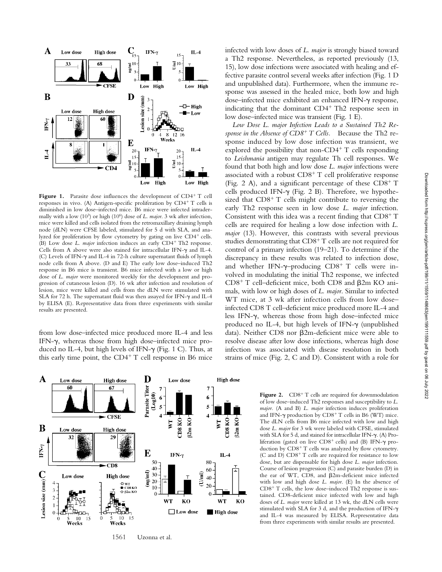

**Figure 1.** Parasite dose influences the development of  $CD4+T$  cell responses in vivo. (A) Antigen-specific proliferation by CD4+ T cells is diminished in low dose–infected mice. B6 mice were infected intradermally with a low (10<sup>3</sup>) or high (10<sup>6</sup>) dose of *L. major*. 3 wk after infection, mice were killed and cells isolated from the retromaxillary draining lymph node (dLN) were CFSE labeled, stimulated for 5 d with SLA, and analyzed for proliferation by flow cytometry by gating on live  $CD4^+$  cells. (B) Low dose *L. major* infection induces an early CD4<sup>+</sup> Th2 response. Cells from A above were also stained for intracellular IFN- $\gamma$  and IL-4. (C) Levels of IFN- $\gamma$  and IL-4 in 72-h culture supernatant fluids of lymph node cells from A above. (D and E) The early low dose–induced Th2 response in B6 mice is transient. B6 mice infected with a low or high dose of *L. major* were monitored weekly for the development and progression of cutaneous lesion (D). 16 wk after infection and resolution of lesion, mice were killed and cells from the dLN were stimulated with SLA for 72 h. The supernatant fluid was then assayed for IFN-y and IL-4 by ELISA (E). Representative data from three experiments with similar results are presented.

from low dose–infected mice produced more IL-4 and less IFN- $\gamma$ , whereas those from high dose-infected mice produced no IL-4, but high levels of IFN- $\gamma$  (Fig. 1 C). Thus, at this early time point, the  $CD4^+$  T cell response in B6 mice



1561 Uzonna et al.

infected with low doses of *L. major* is strongly biased toward a Th2 response. Nevertheless, as reported previously (13, 15), low dose infections were associated with healing and effective parasite control several weeks after infection (Fig. 1 D and unpublished data). Furthermore, when the immune response was assessed in the healed mice, both low and high dose-infected mice exhibited an enhanced IFN- $\gamma$  response, indicating that the dominant  $CD4^+$  Th<sub>2</sub> response seen in low dose–infected mice was transient (Fig. 1 E).

*Low Dose L. major Infection Leads to a Sustained Th2 Response in the Absence of CD8 T Cells.* Because the Th2 response induced by low dose infection was transient, we explored the possibility that non-CD4<sup>+</sup> T cells responding to *Leishmania* antigen may regulate Th cell responses. We found that both high and low dose *L. major* infections were associated with a robust  $CD8^+$  T cell proliferative response (Fig. 2 A), and a significant percentage of these  $CD8^+$  T cells produced IFN- $\gamma$  (Fig. 2 B). Therefore, we hypothesized that  $CD8<sup>+</sup>$  T cells might contribute to reversing the early Th2 response seen in low dose *L. major* infection. Consistent with this idea was a recent finding that  $CD8<sup>+</sup> T$ cells are required for healing a low dose infection with *L. major* (13). However, this contrasts with several previous studies demonstrating that  $CD8<sup>+</sup> T$  cells are not required for control of a primary infection (19–21). To determine if the discrepancy in these results was related to infection dose, and whether IFN- $\gamma$ -producing CD8<sup>+</sup> T cells were involved in modulating the initial Th2 response, we infected  $CD8^+$  T cell-deficient mice, both CD8 and  $\beta$ 2m KO animals, with low or high doses of *L. major*. Similar to infected WT mice, at 3 wk after infection cells from low dose– infected CD8 T cell–deficient mice produced more IL-4 and less IFN- $\gamma$ , whereas those from high dose-infected mice produced no IL-4, but high levels of IFN- $\gamma$  (unpublished data). Neither CD8 nor  $\beta$ 2m-deficient mice were able to resolve disease after low dose infections, whereas high dose infection was associated with disease resolution in both strains of mice (Fig. 2, C and D). Consistent with a role for

> Figure 2. CD8<sup>+</sup> T cells are required for downmodulation of low dose–induced Th2 responses and susceptibility to *L. major.* (A and B) *L. major* infection induces proliferation and IFN- $\gamma$  production by CD8<sup>+</sup> T cells in B6 (WT) mice. The dLN cells from B6 mice infected with low and high dose *L. major* for 3 wk were labeled with CFSE, stimulated with SLA for 5 d, and stained for intracellular IFN-y. (A) Proliferation (gated on live  $CD8^+$  cells) and (B) IFN- $\gamma$  production by  $CDS^+$  T cells was analyzed by flow cytometry. (C and D)  $CD8<sup>+</sup>$  T cells are required for resistance to low dose, but are dispensable for high dose *L. major* infection. Course of lesion progression (C) and parasite burden (D) in the ear of WT, CD8, and  $\beta$ 2m-deficient mice infected with low and high dose *L. major*. (E) In the absence of  $CD8<sup>+</sup>$  T cells, the low dose–induced Th2 response is sustained. CD8-deficient mice infected with low and high doses of *L. major* were killed at 13 wk, the dLN cells were stimulated with SLA for 3 d, and the production of IFN- $\gamma$ and IL-4 was measured by ELISA. Representative data from three experiments with similar results are presented.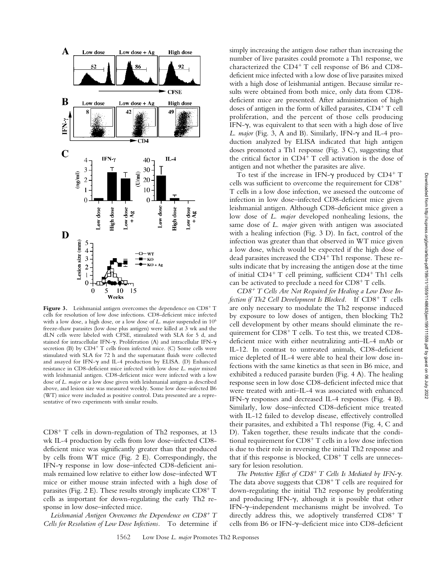

Figure 3. Leishmanial antigen overcomes the dependence on CD8<sup>+</sup>T cells for resolution of low dose infections. CD8-deficient mice infected with a low dose, a high dose, or a low dose of *L. major* suspended in 106 freeze-thaw parasites (low dose plus antigen) were killed at 3 wk and the dLN cells were labeled with CFSE, stimulated with SLA for 5 d, and stained for intracellular IFN-y. Proliferation (A) and intracellular IFN-y secretion (B) by  $CD4+T$  cells from infected mice. (C) Some cells were stimulated with SLA for 72 h and the supernatant fluids were collected and assayed for IFN- $\gamma$  and IL-4 production by ELISA. (D) Enhanced resistance in CD8-deficient mice infected with low dose *L. major* mixed with leishmanial antigen. CD8-deficient mice were infected with a low dose of *L. major* or a low dose given with leishmanial antigen as described above, and lesion size was measured weekly. Some low dose–infected B6 (WT) mice were included as positive control. Data presented are a representative of two experiments with similar results.

 $CD8<sup>+</sup>$  T cells in down-regulation of Th2 responses, at 13 wk IL-4 production by cells from low dose–infected CD8 deficient mice was significantly greater than that produced by cells from WT mice (Fig. 2 E). Correspondingly, the IFN- $\gamma$  response in low dose-infected CD8-deficient animals remained low relative to either low dose–infected WT mice or either mouse strain infected with a high dose of parasites (Fig. 2 E). These results strongly implicate  $CD8^+$  T cells as important for down-regulating the early Th2 response in low dose–infected mice.

*Leishmanial Antigen Overcomes the Dependence on CD8<sup>+</sup> T Cells for Resolution of Low Dose Infections.* To determine if

simply increasing the antigen dose rather than increasing the number of live parasites could promote a Th1 response, we characterized the  $CD4^+$  T cell response of B6 and CD8deficient mice infected with a low dose of live parasites mixed with a high dose of leishmanial antigen. Because similar results were obtained from both mice, only data from CD8 deficient mice are presented. After administration of high doses of antigen in the form of killed parasites,  $CD4^+$  T cell proliferation, and the percent of those cells producing IFN- $\gamma$ , was equivalent to that seen with a high dose of live L. major (Fig. 3, A and B). Similarly, IFN- $\gamma$  and IL-4 production analyzed by ELISA indicated that high antigen doses promoted a Th1 response (Fig. 3 C), suggesting that the critical factor in  $CD4^+$  T cell activation is the dose of antigen and not whether the parasites are alive.

To test if the increase in IFN- $\gamma$  produced by CD4<sup>+</sup> T cells was sufficient to overcome the requirement for CD8 T cells in a low dose infection, we assessed the outcome of infection in low dose–infected CD8-deficient mice given leishmanial antigen. Although CD8-deficient mice given a low dose of *L. major* developed nonhealing lesions, the same dose of *L. major* given with antigen was associated with a healing infection (Fig. 3 D). In fact, control of the infection was greater than that observed in WT mice given a low dose, which would be expected if the high dose of dead parasites increased the  $CD4+Th1$  response. These results indicate that by increasing the antigen dose at the time of initial  $CD4^+$  T cell priming, sufficient  $CD4^+$  Th1 cells can be activated to preclude a need for  $CD8^+$  T cells.

*CD8 T Cells Are Not Required for Healing a Low Dose Infection if Th2 Cell Development Is Blocked.* If CD8<sup>+</sup> T cells are only necessary to modulate the Th2 response induced by exposure to low doses of antigen, then blocking Th2 cell development by other means should eliminate the requirement for  $CD8<sup>+</sup> T$  cells. To test this, we treated  $CD8$ deficient mice with either neutralizing anti–IL-4 mAb or IL-12. In contrast to untreated animals, CD8-deficient mice depleted of IL-4 were able to heal their low dose infections with the same kinetics as that seen in B6 mice, and exhibited a reduced parasite burden (Fig. 4 A). The healing response seen in low dose CD8-deficient infected mice that were treated with anti–IL-4 was associated with enhanced IFN- $\gamma$  responses and decreased IL-4 responses (Fig. 4 B). Similarly, low dose–infected CD8-deficient mice treated with IL-12 failed to develop disease, effectively controlled their parasites, and exhibited a Th1 response (Fig. 4, C and D). Taken together, these results indicate that the conditional requirement for  $CD8<sup>+</sup> T$  cells in a low dose infection is due to their role in reversing the initial Th2 response and that if this response is blocked,  $CD8<sup>+</sup>$  T cells are unnecessary for lesion resolution.

*The Protective Effect of CD8<sup>+</sup> T Cells Is Mediated by IFN-* $\gamma$ *.* The data above suggests that  $CD8<sup>+</sup>$  T cells are required for down-regulating the initial Th2 response by proliferating and producing IFN- $\gamma$ , although it is possible that other IFN-y-independent mechanisms might be involved. To directly address this, we adoptively transferred  $CD8^+$  T cells from B6 or IFN-y-deficient mice into CD8-deficient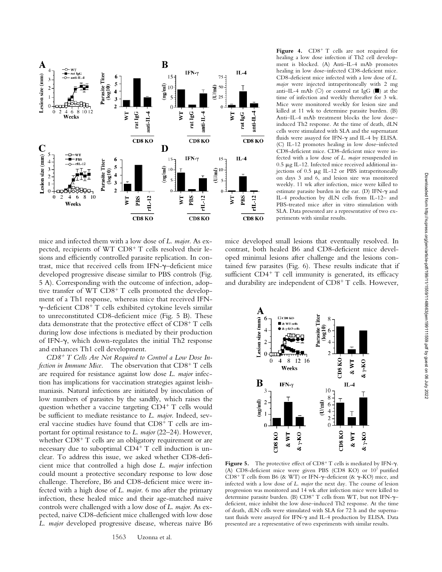

mice and infected them with a low dose of *L. major*. As expected, recipients of WT  $CD8<sup>+</sup>$  T cells resolved their lesions and efficiently controlled parasite replication. In contrast, mice that received cells from IFN- $\gamma$ -deficient mice developed progressive disease similar to PBS controls (Fig. 5 A). Corresponding with the outcome of infection, adoptive transfer of WT CD8<sup>+</sup> T cells promoted the development of a Th1 response, whereas mice that received IFN-  $\gamma$ -deficient CD8<sup>+</sup> T cells exhibited cytokine levels similar to unreconstituted CD8-deficient mice (Fig. 5 B). These data demonstrate that the protective effect of  $CD8^+$  T cells during low dose infections is mediated by their production of IFN- $\gamma$ , which down-regulates the initial Th2 response and enhances Th1 cell development.

*CD8 T Cells Are Not Required to Control a Low Dose Infection in Immune Mice.* The observation that CD8<sup>+</sup> T cells are required for resistance against low dose *L. major* infection has implications for vaccination strategies against leishmaniasis. Natural infections are initiated by inoculation of low numbers of parasites by the sandfly, which raises the question whether a vaccine targeting  $CD4+T$  cells would be sufficient to mediate resistance to *L. major*. Indeed, several vaccine studies have found that  $CD8^+$  T cells are important for optimal resistance to *L. major* (22–24). However, whether  $CD8<sup>+</sup>$  T cells are an obligatory requirement or are necessary due to suboptimal  $CD4^+$  T cell induction is unclear. To address this issue, we asked whether CD8-deficient mice that controlled a high dose *L. major* infection could mount a protective secondary response to low dose challenge. Therefore, B6 and CD8-deficient mice were infected with a high dose of *L. major*. 6 mo after the primary infection, these healed mice and their age-matched naive controls were challenged with a low dose of *L. major*. As expected, naive CD8-deficient mice challenged with low dose *L. major* developed progressive disease, whereas naive B6

Figure 4.  $CD8^+$  T cells are not required for healing a low dose infection if Th2 cell development is blocked. (A) Anti–IL-4 mAb promotes healing in low dose–infected CD8-deficient mice. CD8-deficient mice infected with a low dose of *L. major* were injected intraperitoneally with 2 mg anti–IL-4 mAb ( $\circlearrowright$ ) or control rat IgG ( $\blacksquare$ ) at the time of infection and weekly thereafter for 3 wk. Mice were monitored weekly for lesion size and killed at 11 wk to determine parasite burden. (B) Anti–IL-4 mAb treatment blocks the low dose– induced Th2 response. At the time of death, dLN cells were stimulated with SLA and the supernatant fluids were assayed for IFN- $\gamma$  and IL-4 by ELISA. (C) IL-12 promotes healing in low dose–infected CD8-deficient mice. CD8-deficient mice were infected with a low dose of *L. major* resuspended in  $0.5 \mu$ g IL-12. Infected mice received additional injections of  $0.5 \mu g$  IL-12 or PBS intraperitoneally on days 3 and 6, and lesion size was monitored weekly. 11 wk after infection, mice were killed to estimate parasite burden in the ear. (D) IFN- $\gamma$  and IL-4 production by dLN cells from IL-12– and PBS-treated mice after in vitro stimulation with SLA. Data presented are a representative of two experiments with similar results.

mice developed small lesions that eventually resolved. In contrast, both healed B6 and CD8-deficient mice developed minimal lesions after challenge and the lesions contained few parasites (Fig. 6). These results indicate that if sufficient  $CD4+T$  cell immunity is generated, its efficacy and durability are independent of  $CD8^+$  T cells. However,



Figure 5. The protective effect of  $CD8^+$  T cells is mediated by IFN- $\gamma$ . (A) CD8-deficient mice were given PBS (CD8 KO) or 107 purified CD8<sup>+</sup> T cells from B6 (& WT) or IFN- $\gamma$ -deficient (&  $\gamma$ -KO) mice, and infected with a low dose of *L. major* the next day. The course of lesion progression was monitored and 14 wk after infection mice were killed to determine parasite burden. (B) CD8+ T cells from WT, but not IFN- $\gamma$ deficient, mice inhibit the low dose–induced Th2 response. At the time of death, dLN cells were stimulated with SLA for 72 h and the supernatant fluids were assayed for IFN- $\gamma$  and IL-4 production by ELISA. Data presented are a representative of two experiments with similar results.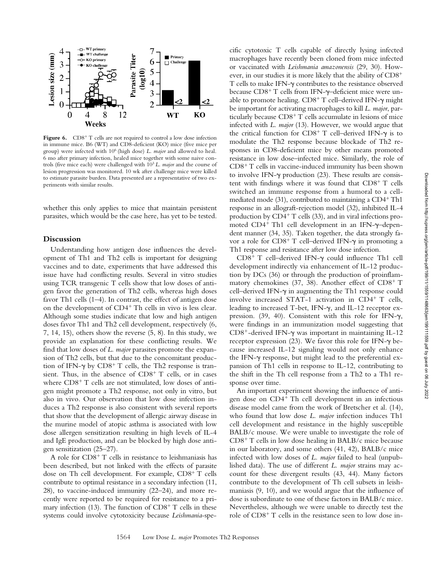

Figure 6. CD8<sup>+</sup>T cells are not required to control a low dose infection in immune mice. B6 (WT) and CD8-deficient (KO) mice (five mice per group) were infected with 106 (high dose) *L. major* and allowed to heal. 6 mo after primary infection, healed mice together with some naive controls (five mice each) were challenged with 103 *L. major* and the course of lesion progression was monitored. 10 wk after challenge mice were killed to estimate parasite burden. Data presented are a representative of two experiments with similar results.

whether this only applies to mice that maintain persistent parasites, which would be the case here, has yet to be tested.

## **Discussion**

Understanding how antigen dose influences the development of Th1 and Th2 cells is important for designing vaccines and to date, experiments that have addressed this issue have had conflicting results. Several in vitro studies using TCR transgenic T cells show that low doses of antigen favor the generation of Th2 cells, whereas high doses favor Th1 cells (1–4). In contrast, the effect of antigen dose on the development of CD4<sup>+</sup> Th cells in vivo is less clear. Although some studies indicate that low and high antigen doses favor Th1 and Th2 cell development, respectively (6, 7, 14, 15), others show the reverse (5, 8). In this study, we provide an explanation for these conflicting results. We find that low doses of *L. major* parasites promote the expansion of Th2 cells, but that due to the concomitant production of IFN- $\gamma$  by CD8<sup>+</sup> T cells, the Th2 response is transient. Thus, in the absence of  $CD8<sup>+</sup>$  T cells, or in cases where  $CD8^+$  T cells are not stimulated, low doses of antigen might promote a Th2 response, not only in vitro, but also in vivo. Our observation that low dose infection induces a Th2 response is also consistent with several reports that show that the development of allergic airway disease in the murine model of atopic asthma is associated with low dose allergen sensitization resulting in high levels of IL-4 and IgE production, and can be blocked by high dose antigen sensitization (25–27).

A role for  $CD8^+$  T cells in resistance to leishmaniasis has been described, but not linked with the effects of parasite dose on Th cell development. For example,  $CD8<sup>+</sup>$  T cells contribute to optimal resistance in a secondary infection (11, 28), to vaccine-induced immunity (22–24), and more recently were reported to be required for resistance to a primary infection (13). The function of  $CD8<sup>+</sup> T$  cells in these systems could involve cytotoxicity because *Leishmania*-spe-

cific cytotoxic T cells capable of directly lysing infected macrophages have recently been cloned from mice infected or vaccinated with *Leishmania amazonensis* (29, 30). However, in our studies it is more likely that the ability of CD8 T cells to make IFN-y contributes to the resistance observed because  $CD8^+$  T cells from IFN- $\gamma$ -deficient mice were unable to promote healing.  $CD8^+$  T cell–derived IFN- $\gamma$  might be important for activating macrophages to kill *L. major*, particularly because  $CDS^+T$  cells accumulate in lesions of mice infected with *L. major* (13). However, we would argue that the critical function for  $CD8^+$  T cell-derived IFN- $\gamma$  is to modulate the Th2 response because blockade of Th2 responses in CD8-deficient mice by other means promoted resistance in low dose–infected mice. Similarly, the role of  $CD8<sup>+</sup>$  T cells in vaccine-induced immunity has been shown to involve IFN- $\gamma$  production (23). These results are consistent with findings where it was found that  $CD8^+$  T cells switched an immune response from a humoral to a cellmediated mode  $(31)$ , contributed to maintaining a  $CD4^+$ Th1 response in an allograft-rejection model (32), inhibited IL-4 production by  $CD4^+$  T cells (33), and in viral infections promoted CD4<sup>+</sup> Th1 cell development in an IFN-y-dependent manner (34, 35). Taken together, the data strongly favor a role for  $CD8^+$  T cell-derived IFN- $\gamma$  in promoting a Th1 response and resistance after low dose infection.

CD8<sup>+</sup> T cell-derived IFN- $\gamma$  could influence Th1 cell development indirectly via enhancement of IL-12 production by DCs (36) or through the production of proinflammatory chemokines (37, 38). Another effect of  $CD8^+$  T cell-derived IFN-y in augmenting the Th1 response could involve increased STAT-1 activation in  $CD4^+$  T cells, leading to increased T-bet, IFN- $\gamma$ , and IL-12 receptor expression. (39, 40). Consistent with this role for IFN- $\gamma$ , were findings in an immunization model suggesting that  $CD8^+$ -derived IFN- $\gamma$  was important in maintaining IL-12 receptor expression (23). We favor this role for IFN- $\gamma$  because increased IL-12 signaling would not only enhance the IFN- $\gamma$  response, but might lead to the preferential expansion of Th1 cells in response to IL-12, contributing to the shift in the Th cell response from a Th2 to a Th1 response over time.

An important experiment showing the influence of antigen dose on CD4<sup>+</sup> Th cell development in an infectious disease model came from the work of Bretscher et al. (14), who found that low dose *L. major* infection induces Th1 cell development and resistance in the highly susceptible BALB/c mouse. We were unable to investigate the role of  $CD8<sup>+</sup>$  T cells in low dose healing in BALB/c mice because in our laboratory, and some others (41, 42), BALB/c mice infected with low doses of *L. major* failed to heal (unpublished data). The use of different *L. major* strains may account for these divergent results (43, 44). Many factors contribute to the development of Th cell subsets in leishmaniasis (9, 10), and we would argue that the influence of dose is subordinate to one of these factors in BALB/c mice. Nevertheless, although we were unable to directly test the role of  $CD8<sup>+</sup>$  T cells in the resistance seen to low dose in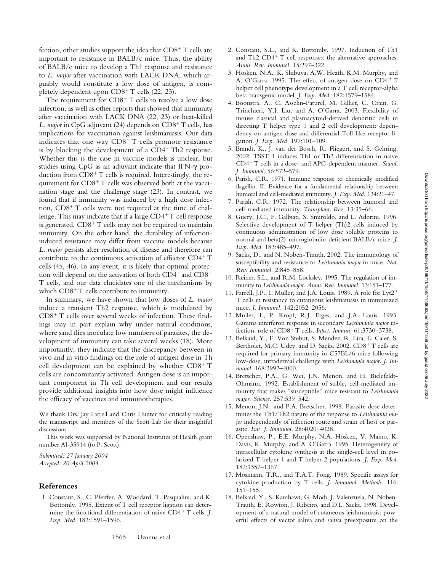fection, other studies support the idea that  $CD8^+$  T cells are important to resistance in BALB/c mice. Thus, the ability of BALB/c mice to develop a Th1 response and resistance to *L. major* after vaccination with LACK DNA, which arguably would constitute a low dose of antigen, is completely dependent upon  $CD8<sup>+</sup> T$  cells (22, 23).

The requirement for  $CD8<sup>+</sup>$  T cells to resolve a low dose infection, as well as other reports that showed that immunity after vaccination with LACK DNA (22, 23) or heat-killed *L. major* in CpG adjuvant (24) depends on CD8<sup>+</sup> T cells, has implications for vaccination against leishmaniasis. Our data indicates that one way  $CD8<sup>+</sup>$  T cells promote resistance is by blocking the development of a  $CD4^+$  Th2 response. Whether this is the case in vaccine models is unclear, but studies using CpG as an adjuvant indicate that IFN-y production from  $CD8<sup>+</sup> T$  cells is required. Interestingly, the requirement for  $CD8<sup>+</sup> T$  cells was observed both at the vaccination stage and the challenge stage (23). In contrast, we found that if immunity was induced by a high dose infection,  $CD8<sup>+</sup>$  T cells were not required at the time of challenge. This may indicate that if a large  $CD4^+$  T cell response is generated,  $CD8<sup>+</sup>$  T cells may not be required to maintain immunity. On the other hand, the durability of infectioninduced resistance may differ from vaccine models because *L. major* persists after resolution of disease and therefore can contribute to the continuous activation of effector CD4+ T cells (45, 46). In any event, it is likely that optimal protection will depend on the activation of both  $CD4^+$  and  $CD8^+$ T cells, and our data elucidates one of the mechanisms by which  $CD8<sup>+</sup>$  T cells contribute to immunity.

In summary, we have shown that low doses of *L. major* induce a transient Th2 response, which is modulated by  $CD8<sup>+</sup>$  T cells over several weeks of infection. These findings may in part explain why under natural conditions, where sand flies inoculate low numbers of parasites, the development of immunity can take several weeks (18). More importantly, they indicate that the discrepancy between in vivo and in vitro findings on the role of antigen dose in Th cell development can be explained by whether  $CD8<sup>+</sup> T$ cells are concomitantly activated. Antigen dose is an important component in Th cell development and our results provide additional insights into how dose might influence the efficacy of vaccines and immunotherapies.

We thank Drs. Jay Farrell and Chris Hunter for critically reading the manuscript and members of the Scott Lab for their insightful discussions.

This work was supported by National Institutes of Health grant number AI-35914 (to P. Scott).

*Submitted: 27 January 2004 Accepted: 20 April 2004*

## **References**

1. Constant, S., C. Pfeiffer, A. Woodard, T. Pasqualini, and K. Bottomly. 1995. Extent of T cell receptor ligation can determine the functional differentiation of naive CD4<sup>+</sup> T cells. *J*. *Exp. Med.* 182:1591–1596.

- 2. Constant, S.L., and K. Bottomly. 1997. Induction of Th1 and Th2  $CD4+T$  cell responses: the alternative approaches. *Annu. Rev. Immunol.* 15:297–322.
- 3. Hosken, N.A., K. Shibuya, A.W. Heath, K.M. Murphy, and A. O'Garra. 1995. The effect of antigen dose on CD4+ T helper cell phenotype development in a T cell receptor-alpha beta-transgenic model. *J. Exp. Med.* 182:1579–1584.
- 4. Boonstra, A., C. Asselin-Paturel, M. Gilliet, C. Crain, G. Trinchieri, Y.J. Liu, and A. O'Garra. 2003. Flexibility of mouse classical and plasmacytoid-derived dendritic cells in directing T helper type 1 and 2 cell development: dependency on antigen dose and differential Toll-like receptor ligation. *J. Exp. Med.* 197:101–109.
- 5. Brandt, K., J. van der Bosch, R. Fliegert, and S. Gehring. 2002. TSST-1 induces Th1 or Th2 differentiation in naive CD4 T cells in a dose- and APC-dependent manner. *Scand. J. Immunol.* 56:572–579.
- 6. Parish, C.R. 1971. Immune response to chemically modified flagellin. II. Evidence for a fundamental relationship between humoral and cell-mediated immunity. *J. Exp. Med.* 134:21–47.
- 7. Parish, C.R. 1972. The relationship between humoral and cell-mediated immunity. *Transplant. Rev.* 13:35–66.
- 8. Guery, J.C., F. Galbiati, S. Smiroldo, and L. Adorini. 1996. Selective development of T helper (Th)2 cells induced by continuous administration of low dose soluble proteins to normal and beta(2)-microglobulin-deficient BALB/c mice. *J. Exp. Med.* 183:485–497.
- 9. Sacks, D., and N. Noben-Trauth. 2002. The immunology of susceptibility and resistance to *Leishmania major* in mice. *Nat. Rev. Immunol.* 2:845–858.
- 10. Reiner, S.L., and R.M. Locksley. 1995. The regulation of immunity to *Leishmania major. Annu. Rev. Immunol.* 13:151–177.
- 11. Farrell, J.P., I. Muller, and J.A. Louis. 1989. A role for Lyt2 T cells in resistance to cutaneous leishmaniasis in immunized mice. *J. Immunol.* 142:2052–2056.
- 12. Muller, I., P. Kropf, R.J. Etges, and J.A. Louis. 1993. Gamma interferon response in secondary *Leishmania major* infection: role of CD8<sup>+</sup> T cells. *Infect. Immun.* 61:3730-3738.
- 13. Belkaid, Y., E. Von Stebut, S. Mendez, R. Lira, E. Caler, S. Bertholet, M.C. Udey, and D. Sacks. 2002. CD8+T cells are required for primary immunity in C57BL/6 mice following low-dose, intradermal challenge with *Leishmania major. J. Immunol.* 168:3992–4000.
- 14. Bretscher, P.A., G. Wei, J.N. Menon, and H. Bielefeldt-Ohmann. 1992. Establishment of stable, cell-mediated immunity that makes "susceptible" mice resistant to *Leishmania major. Science.* 257:539–542.
- 15. Menon, J.N., and P.A. Bretscher. 1998. Parasite dose determines the Th1/Th2 nature of the response to *Leishmania major* independently of infection route and strain of host or parasite. *Eur. J. Immunol.* 28:4020–4028.
- 16. Openshaw, P., E.E. Murphy, N.A. Hosken, V. Maino, K. Davis, K. Murphy, and A. O'Garra. 1995. Heterogeneity of intracellular cytokine synthesis at the single-cell level in polarized T helper 1 and T helper 2 populations. *J. Exp. Med.* 182:1357–1367.
- 17. Mosmann, T.R., and T.A.T. Fong. 1989. Specific assays for cytokine production by T cells. *J. Immunol. Methods.* 116: 151–155.
- 18. Belkaid, Y., S. Kamhawi, G. Modi, J. Valenzuela, N. Noben-Trauth, E. Rowton, J. Ribeiro, and D.L. Sacks. 1998. Development of a natural model of cutaneous leishmaniasis: powerful effects of vector saliva and saliva preexposure on the